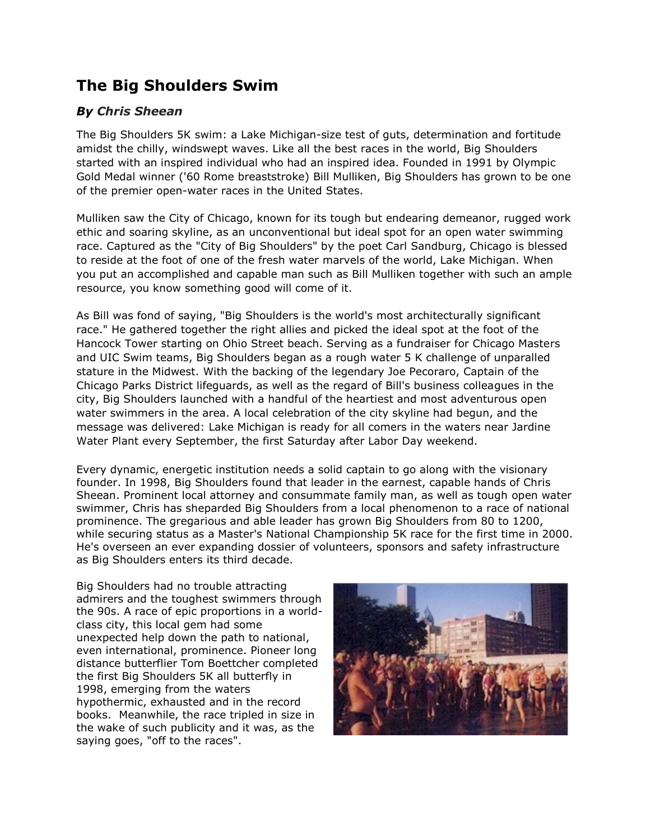## **The Big Shoulders Swim**

## *By Chris Sheean*

The Big Shoulders 5K swim: a Lake Michigan-size test of guts, determination and fortitude amidst the chilly, windswept waves. Like all the best races in the world, Big Shoulders started with an inspired individual who had an inspired idea. Founded in 1991 by Olympic Gold Medal winner ('60 Rome breaststroke) Bill Mulliken, Big Shoulders has grown to be one of the premier open-water races in the United States.

Mulliken saw the City of Chicago, known for its tough but endearing demeanor, rugged work ethic and soaring skyline, as an unconventional but ideal spot for an open water swimming race. Captured as the "City of Big Shoulders" by the poet Carl Sandburg, Chicago is blessed to reside at the foot of one of the fresh water marvels of the world, Lake Michigan. When you put an accomplished and capable man such as Bill Mulliken together with such an ample resource, you know something good will come of it.

As Bill was fond of saying, "Big Shoulders is the world's most architecturally significant race." He gathered together the right allies and picked the ideal spot at the foot of the Hancock Tower starting on Ohio Street beach. Serving as a fundraiser for Chicago Masters and UIC Swim teams, Big Shoulders began as a rough water 5 K challenge of unparalled stature in the Midwest. With the backing of the legendary Joe Pecoraro, Captain of the Chicago Parks District lifeguards, as well as the regard of Bill's business colleagues in the city, Big Shoulders launched with a handful of the heartiest and most adventurous open water swimmers in the area. A local celebration of the city skyline had begun, and the message was delivered: Lake Michigan is ready for all comers in the waters near Jardine Water Plant every September, the first Saturday after Labor Day weekend.

Every dynamic, energetic institution needs a solid captain to go along with the visionary founder. In 1998, Big Shoulders found that leader in the earnest, capable hands of Chris Sheean. Prominent local attorney and consummate family man, as well as tough open water swimmer, Chris has sheparded Big Shoulders from a local phenomenon to a race of national prominence. The gregarious and able leader has grown Big Shoulders from 80 to 1200, while securing status as a Master's National Championship 5K race for the first time in 2000. He's overseen an ever expanding dossier of volunteers, sponsors and safety infrastructure as Big Shoulders enters its third decade.

Big Shoulders had no trouble attracting admirers and the toughest swimmers through the 90s. A race of epic proportions in a worldclass city, this local gem had some unexpected help down the path to national, even international, prominence. Pioneer long distance butterflier Tom Boettcher completed the first Big Shoulders 5K all butterfly in 1998, emerging from the waters hypothermic, exhausted and in the record books. Meanwhile, the race tripled in size in the wake of such publicity and it was, as the saying goes, "off to the races".